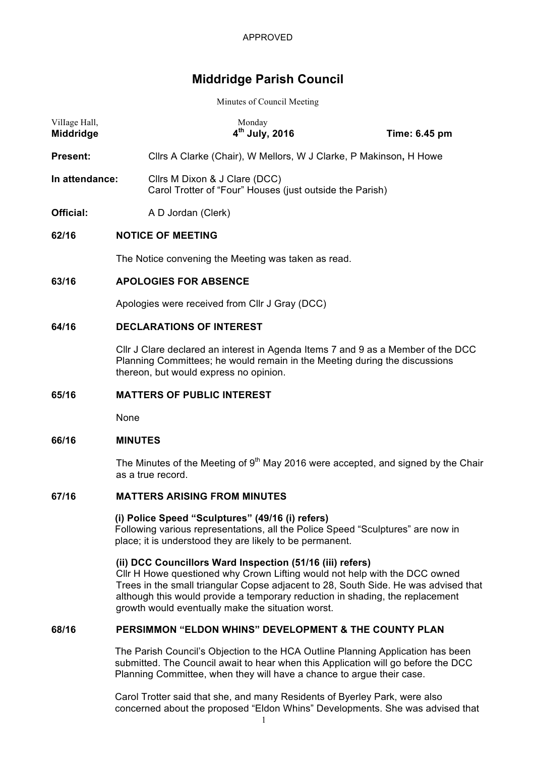# **Middridge Parish Council**

Minutes of Council Meeting

| Village Hall,<br>Middridge |                                                                                                                                                                                                          | Monday<br>$4th$ July, 2016                                                                                                                                                                      | Time: 6.45 pm |  |  |
|----------------------------|----------------------------------------------------------------------------------------------------------------------------------------------------------------------------------------------------------|-------------------------------------------------------------------------------------------------------------------------------------------------------------------------------------------------|---------------|--|--|
| Present:                   |                                                                                                                                                                                                          | Cllrs A Clarke (Chair), W Mellors, W J Clarke, P Makinson, H Howe                                                                                                                               |               |  |  |
| In attendance:             |                                                                                                                                                                                                          | Cllrs M Dixon & J Clare (DCC)<br>Carol Trotter of "Four" Houses (just outside the Parish)                                                                                                       |               |  |  |
| <b>Official:</b>           |                                                                                                                                                                                                          | A D Jordan (Clerk)                                                                                                                                                                              |               |  |  |
| 62/16                      | <b>NOTICE OF MEETING</b>                                                                                                                                                                                 |                                                                                                                                                                                                 |               |  |  |
|                            | The Notice convening the Meeting was taken as read.                                                                                                                                                      |                                                                                                                                                                                                 |               |  |  |
| 63/16                      | <b>APOLOGIES FOR ABSENCE</b>                                                                                                                                                                             |                                                                                                                                                                                                 |               |  |  |
|                            | Apologies were received from Cllr J Gray (DCC)                                                                                                                                                           |                                                                                                                                                                                                 |               |  |  |
| 64/16                      | <b>DECLARATIONS OF INTEREST</b>                                                                                                                                                                          |                                                                                                                                                                                                 |               |  |  |
|                            | CIIr J Clare declared an interest in Agenda Items 7 and 9 as a Member of the DCC<br>Planning Committees; he would remain in the Meeting during the discussions<br>thereon, but would express no opinion. |                                                                                                                                                                                                 |               |  |  |
| 65/16                      | <b>MATTERS OF PUBLIC INTEREST</b>                                                                                                                                                                        |                                                                                                                                                                                                 |               |  |  |
|                            | None                                                                                                                                                                                                     |                                                                                                                                                                                                 |               |  |  |
| 66/16                      | <b>MINUTES</b>                                                                                                                                                                                           |                                                                                                                                                                                                 |               |  |  |
|                            |                                                                                                                                                                                                          | The Minutes of the Meeting of 9 <sup>th</sup> May 2016 were accepted, and signed by the Chair<br>as a true record.                                                                              |               |  |  |
| 67/16                      | <b>MATTERS ARISING FROM MINUTES</b>                                                                                                                                                                      |                                                                                                                                                                                                 |               |  |  |
|                            |                                                                                                                                                                                                          | (i) Police Speed "Sculptures" (49/16 (i) refers)<br>Following various representations, all the Police Speed "Sculptures" are now in<br>place; it is understood they are likely to be permanent. |               |  |  |

## **(ii) DCC Councillors Ward Inspection (51/16 (iii) refers)**

Cllr H Howe questioned why Crown Lifting would not help with the DCC owned Trees in the small triangular Copse adjacent to 28, South Side. He was advised that although this would provide a temporary reduction in shading, the replacement growth would eventually make the situation worst.

# **68/16 PERSIMMON "ELDON WHINS" DEVELOPMENT & THE COUNTY PLAN**

The Parish Council's Objection to the HCA Outline Planning Application has been submitted. The Council await to hear when this Application will go before the DCC Planning Committee, when they will have a chance to argue their case.

Carol Trotter said that she, and many Residents of Byerley Park, were also concerned about the proposed "Eldon Whins" Developments. She was advised that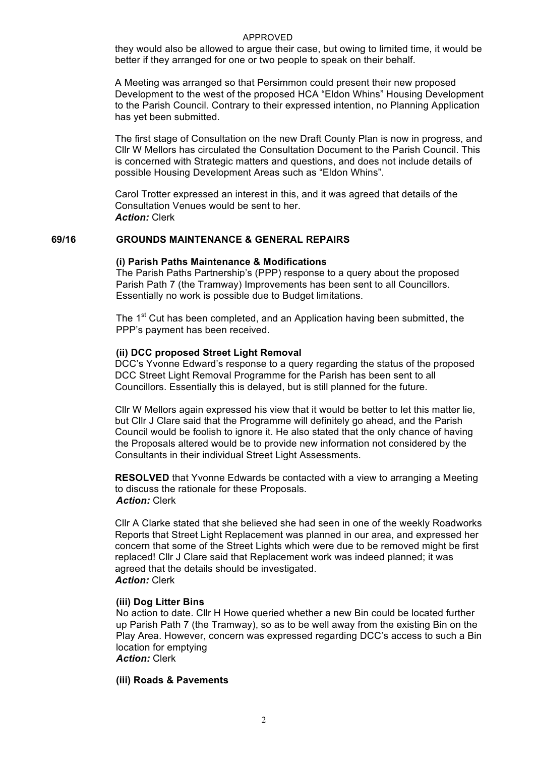#### APPROVED

they would also be allowed to argue their case, but owing to limited time, it would be better if they arranged for one or two people to speak on their behalf.

A Meeting was arranged so that Persimmon could present their new proposed Development to the west of the proposed HCA "Eldon Whins" Housing Development to the Parish Council. Contrary to their expressed intention, no Planning Application has yet been submitted.

The first stage of Consultation on the new Draft County Plan is now in progress, and Cllr W Mellors has circulated the Consultation Document to the Parish Council. This is concerned with Strategic matters and questions, and does not include details of possible Housing Development Areas such as "Eldon Whins".

Carol Trotter expressed an interest in this, and it was agreed that details of the Consultation Venues would be sent to her. *Action:* Clerk

## **69/16 GROUNDS MAINTENANCE & GENERAL REPAIRS**

#### **(i) Parish Paths Maintenance & Modifications**

The Parish Paths Partnership's (PPP) response to a query about the proposed Parish Path 7 (the Tramway) Improvements has been sent to all Councillors. Essentially no work is possible due to Budget limitations.

The 1<sup>st</sup> Cut has been completed, and an Application having been submitted, the PPP's payment has been received.

#### **(ii) DCC proposed Street Light Removal**

DCC's Yvonne Edward's response to a query regarding the status of the proposed DCC Street Light Removal Programme for the Parish has been sent to all Councillors. Essentially this is delayed, but is still planned for the future.

Cllr W Mellors again expressed his view that it would be better to let this matter lie, but Cllr J Clare said that the Programme will definitely go ahead, and the Parish Council would be foolish to ignore it. He also stated that the only chance of having the Proposals altered would be to provide new information not considered by the Consultants in their individual Street Light Assessments.

**RESOLVED** that Yvonne Edwards be contacted with a view to arranging a Meeting to discuss the rationale for these Proposals. *Action:* Clerk

Cllr A Clarke stated that she believed she had seen in one of the weekly Roadworks Reports that Street Light Replacement was planned in our area, and expressed her concern that some of the Street Lights which were due to be removed might be first replaced! Cllr J Clare said that Replacement work was indeed planned; it was agreed that the details should be investigated. *Action:* Clerk

#### **(iii) Dog Litter Bins**

No action to date. Cllr H Howe queried whether a new Bin could be located further up Parish Path 7 (the Tramway), so as to be well away from the existing Bin on the Play Area. However, concern was expressed regarding DCC's access to such a Bin location for emptying *Action:* Clerk

# **(iii) Roads & Pavements**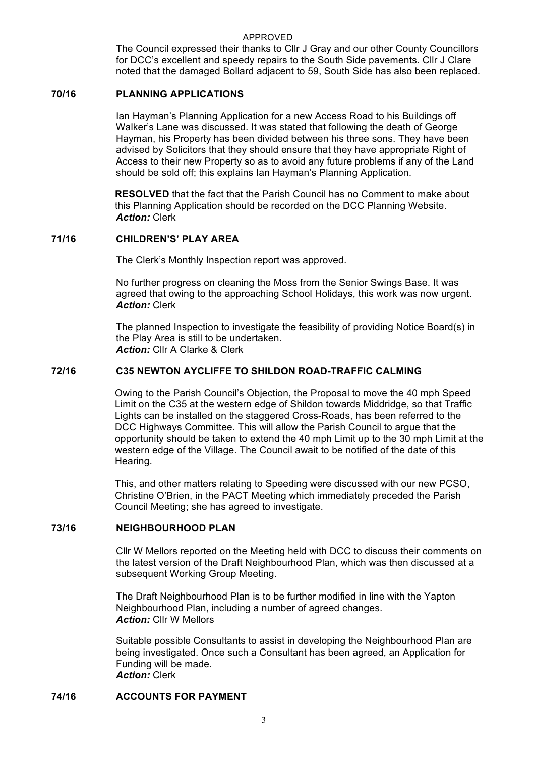#### APPROVED

The Council expressed their thanks to Cllr J Gray and our other County Councillors for DCC's excellent and speedy repairs to the South Side pavements. Cllr J Clare noted that the damaged Bollard adjacent to 59, South Side has also been replaced.

## **70/16 PLANNING APPLICATIONS**

Ian Hayman's Planning Application for a new Access Road to his Buildings off Walker's Lane was discussed. It was stated that following the death of George Hayman, his Property has been divided between his three sons. They have been advised by Solicitors that they should ensure that they have appropriate Right of Access to their new Property so as to avoid any future problems if any of the Land should be sold off; this explains Ian Hayman's Planning Application.

**RESOLVED** that the fact that the Parish Council has no Comment to make about this Planning Application should be recorded on the DCC Planning Website. *Action:* Clerk

## **71/16 CHILDREN'S' PLAY AREA**

The Clerk's Monthly Inspection report was approved.

No further progress on cleaning the Moss from the Senior Swings Base. It was agreed that owing to the approaching School Holidays, this work was now urgent. *Action:* Clerk

The planned Inspection to investigate the feasibility of providing Notice Board(s) in the Play Area is still to be undertaken. *Action:* Cllr A Clarke & Clerk

### **72/16 C35 NEWTON AYCLIFFE TO SHILDON ROAD-TRAFFIC CALMING**

Owing to the Parish Council's Objection, the Proposal to move the 40 mph Speed Limit on the C35 at the western edge of Shildon towards Middridge, so that Traffic Lights can be installed on the staggered Cross-Roads, has been referred to the DCC Highways Committee. This will allow the Parish Council to argue that the opportunity should be taken to extend the 40 mph Limit up to the 30 mph Limit at the western edge of the Village. The Council await to be notified of the date of this Hearing.

This, and other matters relating to Speeding were discussed with our new PCSO, Christine O'Brien, in the PACT Meeting which immediately preceded the Parish Council Meeting; she has agreed to investigate.

## **73/16 NEIGHBOURHOOD PLAN**

Cllr W Mellors reported on the Meeting held with DCC to discuss their comments on the latest version of the Draft Neighbourhood Plan, which was then discussed at a subsequent Working Group Meeting.

The Draft Neighbourhood Plan is to be further modified in line with the Yapton Neighbourhood Plan, including a number of agreed changes. *Action:* Cllr W Mellors

Suitable possible Consultants to assist in developing the Neighbourhood Plan are being investigated. Once such a Consultant has been agreed, an Application for Funding will be made. *Action:* Clerk

### **74/16 ACCOUNTS FOR PAYMENT**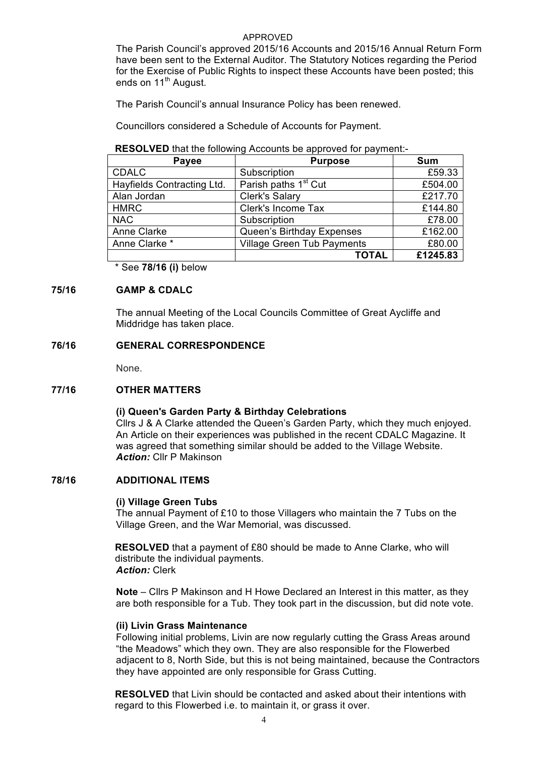## APPROVED

The Parish Council's approved 2015/16 Accounts and 2015/16 Annual Return Form have been sent to the External Auditor. The Statutory Notices regarding the Period for the Exercise of Public Rights to inspect these Accounts have been posted; this ends on  $11<sup>th</sup>$  August.

The Parish Council's annual Insurance Policy has been renewed.

Councillors considered a Schedule of Accounts for Payment.

### **RESOLVED** that the following Accounts be approved for payment:-

| Payee                      | <b>Purpose</b>                    | <b>Sum</b> |
|----------------------------|-----------------------------------|------------|
| <b>CDALC</b>               | Subscription                      | £59.33     |
| Hayfields Contracting Ltd. | Parish paths 1 <sup>st</sup> Cut  | £504.00    |
| Alan Jordan                | <b>Clerk's Salary</b>             | £217.70    |
| <b>HMRC</b>                | Clerk's Income Tax                | £144.80    |
| <b>NAC</b>                 | Subscription                      | £78.00     |
| Anne Clarke                | Queen's Birthday Expenses         | £162.00    |
| Anne Clarke *              | <b>Village Green Tub Payments</b> | £80.00     |
|                            | <b>TOTAL</b>                      | £1245.83   |

\* See **78/16 (i)** below

# **75/16 GAMP & CDALC**

The annual Meeting of the Local Councils Committee of Great Aycliffe and Middridge has taken place.

# **76/16 GENERAL CORRESPONDENCE**

None.

# **77/16 OTHER MATTERS**

# **(i) Queen's Garden Party & Birthday Celebrations**

Cllrs J & A Clarke attended the Queen's Garden Party, which they much enjoyed. An Article on their experiences was published in the recent CDALC Magazine. It was agreed that something similar should be added to the Village Website. *Action:* Cllr P Makinson

# **78/16 ADDITIONAL ITEMS**

### **(i) Village Green Tubs**

The annual Payment of £10 to those Villagers who maintain the 7 Tubs on the Village Green, and the War Memorial, was discussed.

**RESOLVED** that a payment of £80 should be made to Anne Clarke, who will distribute the individual payments. *Action:* Clerk

**Note** – Cllrs P Makinson and H Howe Declared an Interest in this matter, as they are both responsible for a Tub. They took part in the discussion, but did note vote.

## **(ii) Livin Grass Maintenance**

Following initial problems, Livin are now regularly cutting the Grass Areas around "the Meadows" which they own. They are also responsible for the Flowerbed adjacent to 8, North Side, but this is not being maintained, because the Contractors they have appointed are only responsible for Grass Cutting.

**RESOLVED** that Livin should be contacted and asked about their intentions with regard to this Flowerbed i.e. to maintain it, or grass it over.